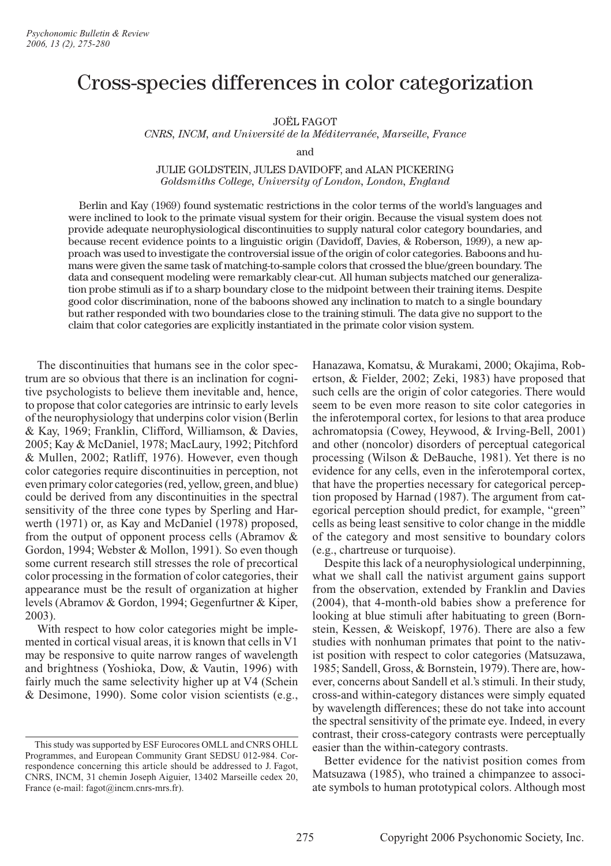# Cross-species differences in color categorization

JOËL FAGOT

*CNRS, INCM, and Université de la Méditerranée, Marseille, France*

and

JULIE GOLDSTEIN, JULES DAVIDOFF, and ALAN PICKERING *Goldsmiths College, University of London, London, England*

Berlin and Kay (1969) found systematic restrictions in the color terms of the world's languages and were inclined to look to the primate visual system for their origin. Because the visual system does not provide adequate neurophysiological discontinuities to supply natural color category boundaries, and because recent evidence points to a linguistic origin (Davidoff, Davies, & Roberson, 1999), a new approach was used to investigate the controversial issue of the origin of color categories. Baboons and humans were given the same task of matching-to-sample colors that crossed the blue/green boundary. The data and consequent modeling were remarkably clear-cut. All human subjects matched our generalization probe stimuli as if to a sharp boundary close to the midpoint between their training items. Despite good color discrimination, none of the baboons showed any inclination to match to a single boundary but rather responded with two boundaries close to the training stimuli. The data give no support to the claim that color categories are explicitly instantiated in the primate color vision system.

The discontinuities that humans see in the color spectrum are so obvious that there is an inclination for cognitive psychologists to believe them inevitable and, hence, to propose that color categories are intrinsic to early levels of the neurophysiology that underpins color vision (Berlin & Kay, 1969; Franklin, Clifford, Williamson, & Davies, 2005; Kay & McDaniel, 1978; MacLaury, 1992; Pitchford & Mullen, 2002; Ratliff, 1976). However, even though color categories require discontinuities in perception, not even primary color categories (red, yellow, green, and blue) could be derived from any discontinuities in the spectral sensitivity of the three cone types by Sperling and Harwerth (1971) or, as Kay and McDaniel (1978) proposed, from the output of opponent process cells (Abramov & Gordon, 1994; Webster & Mollon, 1991). So even though some current research still stresses the role of precortical color processing in the formation of color categories, their appearance must be the result of organization at higher levels (Abramov & Gordon, 1994; Gegenfurtner & Kiper, 2003).

With respect to how color categories might be implemented in cortical visual areas, it is known that cells in V1 may be responsive to quite narrow ranges of wavelength and brightness (Yoshioka, Dow, & Vautin, 1996) with fairly much the same selectivity higher up at V4 (Schein & Desimone, 1990). Some color vision scientists (e.g.,

Hanazawa, Komatsu, & Murakami, 2000; Okajima, Robertson, & Fielder, 2002; Zeki, 1983) have proposed that such cells are the origin of color categories. There would seem to be even more reason to site color categories in the inferotemporal cortex, for lesions to that area produce achromatopsia (Cowey, Heywood, & Irving-Bell, 2001) and other (noncolor) disorders of perceptual categorical processing (Wilson & DeBauche, 1981). Yet there is no evidence for any cells, even in the inferotemporal cortex, that have the properties necessary for categorical perception proposed by Harnad (1987). The argument from categorical perception should predict, for example, "green" cells as being least sensitive to color change in the middle of the category and most sensitive to boundary colors (e.g., chartreuse or turquoise).

Despite this lack of a neurophysiological underpinning, what we shall call the nativist argument gains support from the observation, extended by Franklin and Davies (2004), that 4-month-old babies show a preference for looking at blue stimuli after habituating to green (Bornstein, Kessen, & Weiskopf, 1976). There are also a few studies with nonhuman primates that point to the nativist position with respect to color categories (Matsuzawa, 1985; Sandell, Gross, & Bornstein, 1979). There are, however, concerns about Sandell et al.'s stimuli. In their study, cross-and within-category distances were simply equated by wavelength differences; these do not take into account the spectral sensitivity of the primate eye. Indeed, in every contrast, their cross-category contrasts were perceptually easier than the within-category contrasts.

Better evidence for the nativist position comes from Matsuzawa (1985), who trained a chimpanzee to associate symbols to human prototypical colors. Although most

This study was supported by ESF Eurocores OMLL and CNRS OHLL Programmes, and European Community Grant SEDSU 012-984. Correspondence concerning this article should be addressed to J. Fagot, CNRS, INCM, 31 chemin Joseph Aiguier, 13402 Marseille cedex 20, France (e-mail: fagot@incm.cnrs-mrs.fr).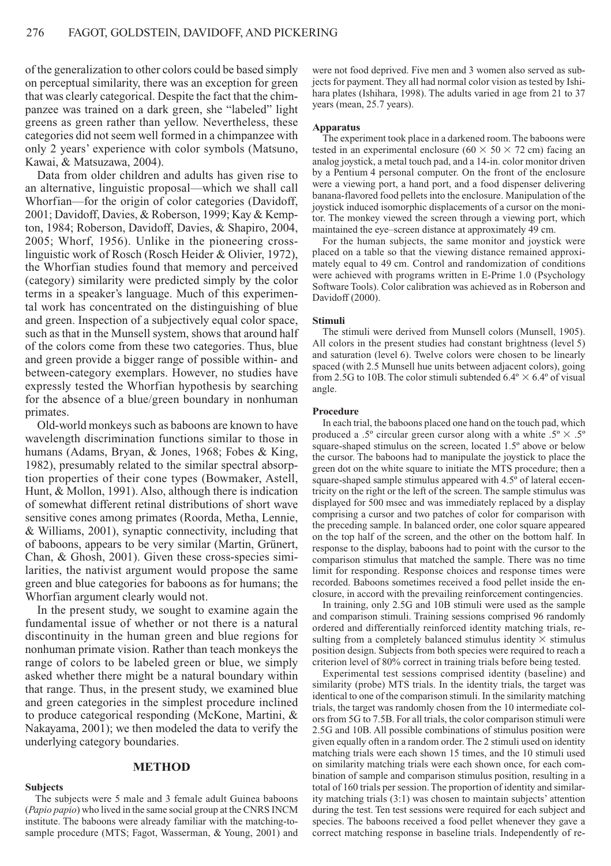of the generalization to other colors could be based simply on perceptual similarity, there was an exception for green that was clearly categorical. Despite the fact that the chimpanzee was trained on a dark green, she "labeled" light greens as green rather than yellow. Nevertheless, these categories did not seem well formed in a chimpanzee with only 2 years' experience with color symbols (Matsuno, Kawai, & Matsuzawa, 2004).

Data from older children and adults has given rise to an alternative, linguistic proposal—which we shall call Whorfian—for the origin of color categories (Davidoff, 2001; Davidoff, Davies, & Roberson, 1999; Kay & Kempton, 1984; Roberson, Davidoff, Davies, & Shapiro, 2004, 2005; Whorf, 1956). Unlike in the pioneering cross linguistic work of Rosch (Rosch Heider & Olivier, 1972), the Whorfian studies found that memory and perceived (category) similarity were predicted simply by the color terms in a speaker's language. Much of this experimental work has concentrated on the distinguishing of blue and green. Inspection of a subjectively equal color space, such as that in the Munsell system, shows that around half of the colors come from these two categories. Thus, blue and green provide a bigger range of possible within- and between-category exemplars. However, no studies have expressly tested the Whorfian hypothesis by searching for the absence of a blue/green boundary in nonhuman primates.

Old-world monkeys such as baboons are known to have wavelength discrimination functions similar to those in humans (Adams, Bryan, & Jones, 1968; Fobes & King, 1982), presumably related to the similar spectral absorption properties of their cone types (Bowmaker, Astell, Hunt, & Mollon, 1991). Also, although there is indication of somewhat different retinal distributions of short wave sensitive cones among primates (Roorda, Metha, Lennie, & Williams, 2001), synaptic connectivity, including that of baboons, appears to be very similar (Martin, Grünert, Chan, & Ghosh, 2001). Given these cross-species similarities, the nativist argument would propose the same green and blue categories for baboons as for humans; the Whorfian argument clearly would not.

In the present study, we sought to examine again the fundamental issue of whether or not there is a natural discontinuity in the human green and blue regions for nonhuman primate vision. Rather than teach monkeys the range of colors to be labeled green or blue, we simply asked whether there might be a natural boundary within that range. Thus, in the present study, we examined blue and green categories in the simplest procedure inclined to produce categorical responding (McKone, Martini, & Nakayama, 2001); we then modeled the data to verify the underlying category boundaries.

#### **Subjects**

## **METHOD**

The subjects were 5 male and 3 female adult Guinea baboons (*Papio papio*) who lived in the same social group at the CNRS INCM institute. The baboons were already familiar with the matching-tosample procedure (MTS; Fagot, Wasserman, & Young, 2001) and

were not food deprived. Five men and 3 women also served as subjects for payment. They all had normal color vision as tested by Ishihara plates (Ishihara, 1998). The adults varied in age from 21 to 37 years (mean, 25.7 years).

#### **Apparatus**

The experiment took place in a darkened room. The baboons were tested in an experimental enclosure  $(60 \times 50 \times 72 \text{ cm})$  facing an analog joystick, a metal touch pad, and a 14-in. color monitor driven by a Pentium 4 personal computer. On the front of the enclosure were a viewing port, a hand port, and a food dispenser delivering banana- flavored food pellets into the enclosure. Manipulation of the joystick induced isomorphic displacements of a cursor on the monitor. The monkey viewed the screen through a viewing port, which maintained the eye–screen distance at approximately 49 cm.

For the human subjects, the same monitor and joystick were placed on a table so that the viewing distance remained approximately equal to 49 cm. Control and randomization of conditions were achieved with programs written in E-Prime 1.0 (Psychology Software Tools). Color calibration was achieved as in Roberson and Davidoff (2000).

#### **Stimuli**

The stimuli were derived from Munsell colors (Munsell, 1905). All colors in the present studies had constant brightness (level 5) and saturation (level 6). Twelve colors were chosen to be linearly spaced (with 2.5 Munsell hue units between adjacent colors), going from 2.5G to 10B. The color stimuli subtended  $6.4^{\circ} \times 6.4^{\circ}$  of visual angle.

#### **Procedure**

In each trial, the baboons placed one hand on the touch pad, which produced a .5° circular green cursor along with a white .5°  $\times$  .5° square-shaped stimulus on the screen, located 1.5º above or below the cursor. The baboons had to manipulate the joystick to place the green dot on the white square to initiate the MTS procedure; then a square-shaped sample stimulus appeared with 4.5º of lateral eccentricity on the right or the left of the screen. The sample stimulus was displayed for 500 msec and was immediately replaced by a display comprising a cursor and two patches of color for comparison with the preceding sample. In balanced order, one color square appeared on the top half of the screen, and the other on the bottom half. In response to the display, baboons had to point with the cursor to the comparison stimulus that matched the sample. There was no time limit for responding. Response choices and response times were recorded. Baboons sometimes received a food pellet inside the enclosure, in accord with the prevailing reinforcement contingencies.

In training, only 2.5G and 10B stimuli were used as the sample and comparison stimuli. Training sessions comprised 96 randomly ordered and differentially reinforced identity matching trials, resulting from a completely balanced stimulus identity  $\times$  stimulus position design. Subjects from both species were required to reach a criterion level of 80% correct in training trials before being tested.

Experimental test sessions comprised identity (baseline) and similarity (probe) MTS trials. In the identity trials, the target was identical to one of the comparison stimuli. In the similarity matching trials, the target was randomly chosen from the 10 intermediate colors from 5G to 7.5B. For all trials, the color comparison stimuli were 2.5G and 10B. All possible combinations of stimulus position were given equally often in a random order. The 2 stimuli used on identity matching trials were each shown 15 times, and the 10 stimuli used on similarity matching trials were each shown once, for each combination of sample and comparison stimulus position, resulting in a total of 160 trials per session. The proportion of identity and similarity matching trials (3:1) was chosen to maintain subjects' attention during the test. Ten test sessions were required for each subject and species. The baboons received a food pellet whenever they gave a correct matching response in baseline trials. Independently of re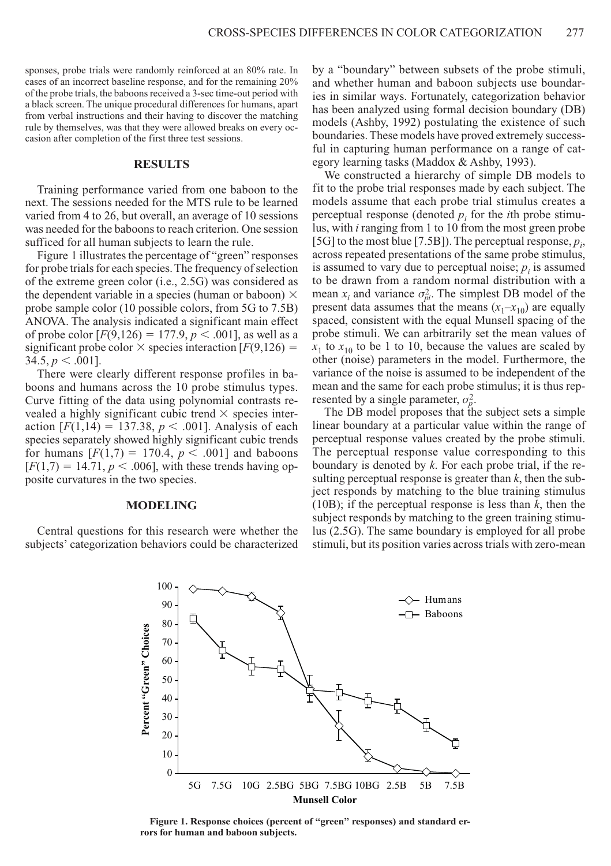sponses, probe trials were randomly reinforced at an 80% rate. In cases of an incorrect baseline response, and for the remaining 20% of the probe trials, the baboons received a 3-sec time-out period with a black screen. The unique procedural differences for humans, apart from verbal instructions and their having to discover the matching rule by themselves, was that they were allowed breaks on every occasion after completion of the first three test sessions.

## **RESULTS**

Training performance varied from one baboon to the next. The sessions needed for the MTS rule to be learned varied from 4 to 26, but overall, an average of 10 sessions was needed for the baboons to reach criterion. One session sufficed for all human subjects to learn the rule.

Figure 1 illustrates the percentage of "green" responses for probe trials for each species. The frequency of selection of the extreme green color (i.e., 2.5G) was considered as the dependent variable in a species (human or baboon)  $\times$ probe sample color (10 possible colors, from 5G to 7.5B) ANOVA. The analysis indicated a significant main effect of probe color  $[F(9,126) = 177.9, p < .001]$ , as well as a significant probe color  $\times$  species interaction  $[F(9,126) =$  $34.5, p \leq .001$ .

There were clearly different response profiles in baboons and humans across the 10 probe stimulus types. Curve fitting of the data using polynomial contrasts revealed a highly significant cubic trend  $\times$  species interaction  $[F(1,14) = 137.38, p < .001]$ . Analysis of each species separately showed highly significant cubic trends for humans  $[F(1,7) = 170.4, p < .001]$  and baboons  $[F(1,7) = 14.71, p < .006]$ , with these trends having opposite curvatures in the two species.

## **MODELING**

Central questions for this research were whether the subjects' categorization behaviors could be characterized by a "boundary" between subsets of the probe stimuli, and whether human and baboon subjects use boundaries in similar ways. Fortunately, categorization behavior has been analyzed using formal decision boundary (DB) models (Ashby, 1992) postulating the existence of such boundaries. These models have proved extremely successful in capturing human performance on a range of category learning tasks (Maddox & Ashby, 1993).

We constructed a hierarchy of simple DB models to fit to the probe trial responses made by each subject. The models assume that each probe trial stimulus creates a perceptual response (denoted  $p_i$  for the *i*th probe stimulus, with *i* ranging from 1 to 10 from the most green probe [5G] to the most blue [7.5B]). The perceptual response,  $p_i$ , across repeated presentations of the same probe stimulus, is assumed to vary due to perceptual noise;  $p_i$  is assumed to be drawn from a random normal distribution with a mean  $x_i$  and variance  $\sigma_{pi}^2$ . The simplest DB model of the present data assumes that the means  $(x_1-x_{10})$  are equally spaced, consistent with the equal Munsell spacing of the probe stimuli. We can arbitrarily set the mean values of  $x_1$  to  $x_{10}$  to be 1 to 10, because the values are scaled by other (noise) parameters in the model. Furthermore, the variance of the noise is assumed to be independent of the mean and the same for each probe stimulus; it is thus represented by a single parameter,  $\sigma_p^2$ .

The DB model proposes that the subject sets a simple linear boundary at a particular value within the range of perceptual response values created by the probe stimuli. The perceptual response value corresponding to this boundary is denoted by *k*. For each probe trial, if the resulting perceptual response is greater than *k*, then the subject responds by matching to the blue training stimulus (10B); if the perceptual response is less than  $k$ , then the subject responds by matching to the green training stimulus (2.5G). The same boundary is employed for all probe stimuli, but its position varies across trials with zero-mean



**Figure 1. Response choices (percent of "green" responses) and standard errors for human and baboon subjects.**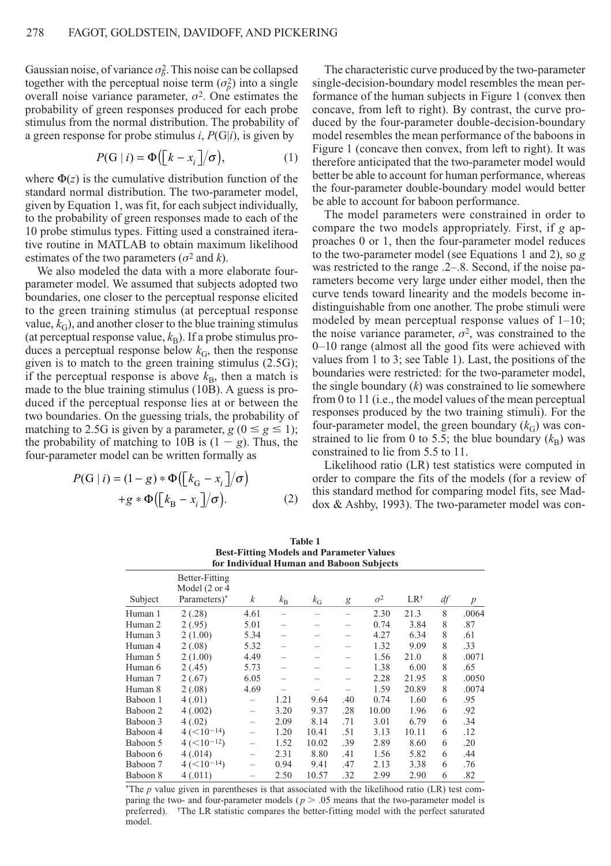Gaussian noise, of variance  $\sigma_b^2$ . This noise can be collapsed together with the perceptual noise term  $(\sigma_p^2)$  into a single overall noise variance parameter,  $\sigma^2$ . One estimates the probability of green responses produced for each probe stimulus from the normal distribution. The probability of a green response for probe stimulus *i*,  $P(G|i)$ , is given by

$$
P(G | i) = \Phi([k - x_i]/\sigma), \qquad (1)
$$

where  $\Phi(z)$  is the cumulative distribution function of the standard normal distribution. The two-parameter model, given by Equation 1, was fit, for each subject individually, to the probability of green responses made to each of the 10 probe stimulus types. Fitting used a constrained iterative routine in MATLAB to obtain maximum likelihood estimates of the two parameters ( $\sigma^2$  and *k*).

We also modeled the data with a more elaborate fourparameter model. We assumed that subjects adopted two boundaries, one closer to the perceptual response elicited to the green training stimulus (at perceptual response value,  $k_G$ ), and another closer to the blue training stimulus (at perceptual response value,  $k_B$ ). If a probe stimulus produces a perceptual response below  $k<sub>G</sub>$ , then the response given is to match to the green training stimulus (2.5G); if the perceptual response is above  $k_B$ , then a match is made to the blue training stimulus (10B). A guess is produced if the perceptual response lies at or between the two boundaries. On the guessing trials, the probability of matching to 2.5G is given by a parameter,  $g(0 \le g \le 1)$ ; the probability of matching to 10B is  $(1 - g)$ . Thus, the four- parameter model can be written formally as

$$
P(G | i) = (1 - g) * \Phi([k_G - x_i]/\sigma)
$$
  
+g \* \Phi([k\_B - x\_i]/\sigma). (2)

The characteristic curve produced by the two-parameter single-decision-boundary model resembles the mean performance of the human subjects in Figure 1 (convex then concave, from left to right). By contrast, the curve produced by the four-parameter double-decision-boundary model resembles the mean performance of the baboons in Figure 1 (concave then convex, from left to right). It was therefore anticipated that the two-parameter model would better be able to account for human performance, whereas the four-parameter double-boundary model would better be able to account for baboon performance.

The model parameters were constrained in order to compare the two models appropriately. First, if *g* approaches 0 or 1, then the four-parameter model reduces to the two-parameter model (see Equations 1 and 2), so *g* was restricted to the range .2–.8. Second, if the noise parameters become very large under either model, then the curve tends toward linearity and the models become indistinguishable from one another. The probe stimuli were modeled by mean perceptual response values of 1–10; the noise variance parameter,  $\sigma^2$ , was constrained to the 0–10 range (almost all the good fits were achieved with values from 1 to 3; see Table 1). Last, the positions of the boundaries were restricted: for the two-parameter model, the single boundary (*k*) was constrained to lie somewhere from 0 to 11 (i.e., the model values of the mean perceptual responses produced by the two training stimuli). For the four-parameter model, the green boundary  $(k_G)$  was constrained to lie from 0 to 5.5; the blue boundary  $(k_B)$  was constrained to lie from 5.5 to 11.

Likelihood ratio (LR) test statistics were computed in order to compare the fits of the models (for a review of this standard method for comparing model fits, see Maddox & Ashby, 1993). The two-parameter model was con-

**Table 1 Best-Fitting Models and Parameter Values for Individual Human and Baboon Subjects**

| Parameters)*    | k                               | $k_{\rm B}$ | $k_{\rm G}$ | g   | $\sigma^2$ | LR†   | df | $\boldsymbol{p}$ |
|-----------------|---------------------------------|-------------|-------------|-----|------------|-------|----|------------------|
| 2(.28)          | 4.61                            |             |             |     | 2.30       | 21.3  | 8  | .0064            |
| 2(.95)          | 5.01                            |             |             | -   | 0.74       | 3.84  | 8  | .87              |
| 2(1.00)         | 5.34                            |             |             | -   | 4.27       | 6.34  | 8  | .61              |
| 2(.08)          | 5.32                            |             |             |     | 1.32       | 9.09  | 8  | .33              |
| 2(1.00)         | 4.49                            |             |             |     | 1.56       | 21.0  | 8  | .0071            |
| 2(.45)          | 5.73                            |             |             |     | 1.38       | 6.00  | 8  | .65              |
| 2(.67)          | 6.05                            |             |             |     | 2.28       | 21.95 | 8  | .0050            |
| 2(.08)          | 4.69                            |             |             | -   | 1.59       | 20.89 | 8  | .0074            |
| 4(01)           | -                               | 1.21        | 9.64        | .40 | 0.74       | 1.60  | 6  | .95              |
| 4(.002)         | -                               | 3.20        | 9.37        | .28 | 10.00      | 1.96  | 6  | .92              |
| 4(.02)          | $\overline{\phantom{0}}$        | 2.09        | 8.14        | .71 | 3.01       | 6.79  | 6  | .34              |
| $4 (<10^{-14})$ | $\qquad \qquad -$               | 1.20        | 10.41       | .51 | 3.13       | 10.11 | 6  | .12              |
| $4 (<10^{-12})$ | $\qquad \qquad -$               | 1.52        | 10.02       | .39 | 2.89       | 8.60  | 6  | .20              |
| 4(0.014)        | -                               | 2.31        | 8.80        | .41 | 1.56       | 5.82  | 6  | .44              |
| $4 (<10^{-14})$ |                                 | 0.94        | 9.41        | .47 | 2.13       | 3.38  | 6  | .76              |
| 4(0.011)        |                                 | 2.50        | 10.57       | .32 | 2.99       | 2.90  | 6  | .82              |
|                 | Better-Fitting<br>Model (2 or 4 |             |             |     |            |       |    |                  |

 $*$ The  $p$  value given in parentheses is that associated with the likelihood ratio (LR) test comparing the two- and four-parameter models ( $p > .05$  means that the two-parameter model is preferred). †The LR statistic compares the better-fitting model with the perfect saturated model.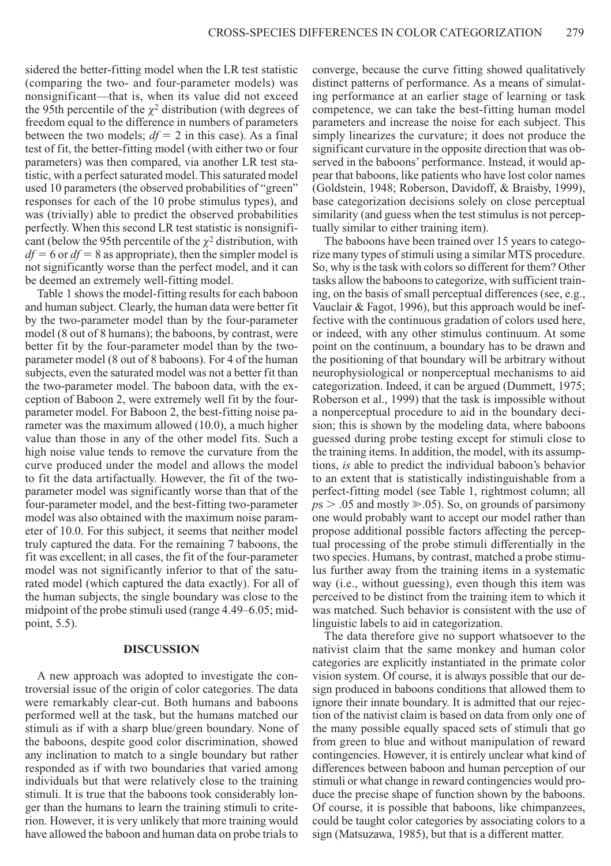sidered the better-fitting model when the LR test statistic (comparing the two- and four-parameter models) was nonsignificant—that is, when its value did not exceed the 95th percentile of the  $\chi^2$  distribution (with degrees of freedom equal to the difference in numbers of parameters between the two models;  $df = 2$  in this case). As a final test of fit, the better-fitting model (with either two or four parameters) was then compared, via another LR test statistic, with a perfect saturated model. This saturated model used 10 parameters (the observed probabilities of "green" responses for each of the 10 probe stimulus types), and was (trivially) able to predict the observed probabilities perfectly. When this second LR test statistic is nonsignificant (below the 95th percentile of the *χ*2 distribution, with  $df = 6$  or  $df = 8$  as appropriate), then the simpler model is not significantly worse than the perfect model, and it can be deemed an extremely well-fitting model.

Table 1 shows the model-fitting results for each baboon and human subject. Clearly, the human data were better fit by the two-parameter model than by the four-parameter model (8 out of 8 humans); the baboons, by contrast, were better fit by the four-parameter model than by the twoparameter model (8 out of 8 baboons). For 4 of the human subjects, even the saturated model was not a better fit than the two-parameter model. The baboon data, with the exception of Baboon 2, were extremely well fit by the fourparameter model. For Baboon 2, the best-fitting noise parameter was the maximum allowed (10.0), a much higher value than those in any of the other model fits. Such a high noise value tends to remove the curvature from the curve produced under the model and allows the model to fit the data artifactually. However, the fit of the twoparameter model was significantly worse than that of the four- parameter model, and the best-fitting two-parameter model was also obtained with the maximum noise parameter of 10.0. For this subject, it seems that neither model truly captured the data. For the remaining 7 baboons, the fit was excellent; in all cases, the fit of the four-parameter model was not significantly inferior to that of the saturated model (which captured the data exactly). For all of the human subjects, the single boundary was close to the midpoint of the probe stimuli used (range 4.49–6.05; midpoint, 5.5).

## **DISCUSSION**

A new approach was adopted to investigate the controversial issue of the origin of color categories. The data were remarkably clear-cut. Both humans and baboons performed well at the task, but the humans matched our stimuli as if with a sharp blue/green boundary. None of the baboons, despite good color discrimination, showed any inclination to match to a single boundary but rather responded as if with two boundaries that varied among individuals but that were relatively close to the training stimuli. It is true that the baboons took considerably longer than the humans to learn the training stimuli to criterion. However, it is very unlikely that more training would have allowed the baboon and human data on probe trials to

converge, because the curve fitting showed qualitatively distinct patterns of performance. As a means of simulating performance at an earlier stage of learning or task competence, we can take the best-fitting human model parameters and increase the noise for each subject. This simply linearizes the curvature; it does not produce the significant curvature in the opposite direction that was observed in the baboons' performance. Instead, it would appear that baboons, like patients who have lost color names (Goldstein, 1948; Roberson, Davidoff, & Braisby, 1999), base categorization decisions solely on close perceptual similarity (and guess when the test stimulus is not perceptually similar to either training item).

The baboons have been trained over 15 years to categorize many types of stimuli using a similar MTS procedure. So, why is the task with colors so different for them? Other tasks allow the baboons to categorize, with sufficient training, on the basis of small perceptual differences (see, e.g., Vauclair & Fagot, 1996), but this approach would be ineffective with the continuous gradation of colors used here, or indeed, with any other stimulus continuum. At some point on the continuum, a boundary has to be drawn and the positioning of that boundary will be arbitrary without neurophysiological or nonperceptual mechanisms to aid categorization. Indeed, it can be argued (Dummett, 1975; Roberson et al., 1999) that the task is impossible without a nonperceptual procedure to aid in the boundary decision; this is shown by the modeling data, where baboons guessed during probe testing except for stimuli close to the training items. In addition, the model, with its assumptions, *is* able to predict the individual baboon's behavior to an extent that is statistically indistinguishable from a perfect-fitting model (see Table 1, rightmost column; all  $p_s$   $>$  0.05 and mostly  $\ge$  0.05). So, on grounds of parsimony one would probably want to accept our model rather than propose additional possible factors affecting the perceptual processing of the probe stimuli differentially in the two species. Humans, by contrast, matched a probe stimulus further away from the training items in a systematic way (i.e., without guessing), even though this item was perceived to be distinct from the training item to which it was matched. Such behavior is consistent with the use of linguistic labels to aid in categorization.

The data therefore give no support whatsoever to the nativist claim that the same monkey and human color categories are explicitly instantiated in the primate color vision system. Of course, it is always possible that our design produced in baboons conditions that allowed them to ignore their innate boundary. It is admitted that our rejection of the nativist claim is based on data from only one of the many possible equally spaced sets of stimuli that go from green to blue and without manipulation of reward contingencies. However, it is entirely unclear what kind of differences between baboon and human perception of our stimuli or what change in reward contingencies would produce the precise shape of function shown by the baboons. Of course, it is possible that baboons, like chimpanzees, could be taught color categories by associating colors to a sign (Matsuzawa, 1985), but that is a different matter.